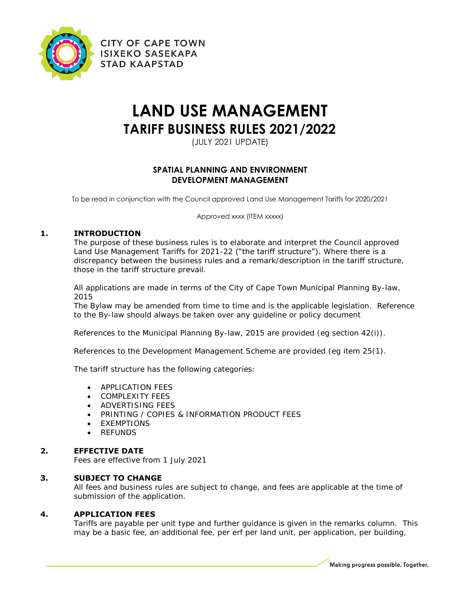

**CITY OF CAPE TOWN ISIXEKO SASEKAPA STAD KAAPSTAD** 

# **LAND USE MANAGEMENT TARIFF BUSINESS RULES 2021/2022**

(JULY 2021 UPDATE)

# **SPATIAL PLANNING AND ENVIRONMENT DEVELOPMENT MANAGEMENT**

To be read in conjunction with the Council approved Land Use Management Tariffs for 2020/2021

Approved xxxx (ITEM xxxxx)

# **1. INTRODUCTION**

The purpose of these business rules is to elaborate and interpret the Council approved Land Use Management Tariffs for 2021-22 ("the tariff structure"). Where there is a discrepancy between the business rules and a remark/description in the tariff structure, those in the tariff structure prevail.

All applications are made in terms of the City of Cape Town Municipal Planning By-law, 2015

The Bylaw may be amended from time to time and is the applicable legislation. Reference to the By-law should always be taken over any guideline or policy document

References to the Municipal Planning By-law, 2015 are provided (eg section 42(i)).

References to the Development Management Scheme are provided (eg item 25(1).

The tariff structure has the following categories:

- **APPLICATION FEES**
- COMPLEXITY FEES
- **ADVERTISING FEES**
- PRINTING / COPIES & INFORMATION PRODUCT FEES
- **•** EXEMPTIONS
- REFUNDS

## **2. EFFECTIVE DATE**

Fees are effective from 1 July 2021

## **3. SUBJECT TO CHANGE**

All fees and business rules are subject to change, and fees are applicable at the time of submission of the application.

## **4. APPLICATION FEES**

Tariffs are payable per unit type and further guidance is given in the remarks column. This may be a basic fee, an additional fee, per erf per land unit, per application, per building,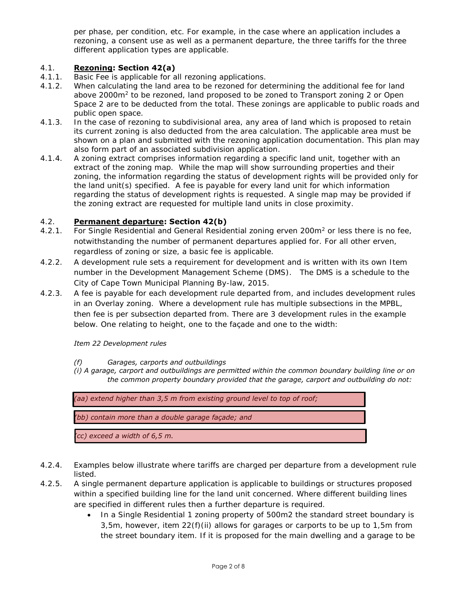per phase, per condition, etc. For example, in the case where an application includes a rezoning, a consent use as well as a permanent departure, the three tariffs for the three different application types are applicable.

# 4.1. **Rezoning: Section 42(a)**

- 4.1.1. Basic Fee is applicable for all rezoning applications.
- 4.1.2. When calculating the land area to be rezoned for determining the additional fee for land above 2000m<sup>2</sup> to be rezoned, land proposed to be zoned to Transport zoning 2 or Open Space 2 are to be deducted from the total. These zonings are applicable to public roads and public open space.
- 4.1.3. In the case of rezoning to subdivisional area, any area of land which is proposed to retain its current zoning is also deducted from the area calculation. The applicable area must be shown on a plan and submitted with the rezoning application documentation. This plan may also form part of an associated subdivision application.
- 4.1.4. A zoning extract comprises information regarding a specific land unit, together with an extract of the zoning map. While the map will show surrounding properties and their zoning, the information regarding the status of development rights will be provided only for the land unit(s) specified. A fee is payable for every land unit for which information regarding the status of development rights is requested. A single map may be provided if the zoning extract are requested for multiple land units in close proximity.

#### 4.2. **Permanent departure: Section 42(b)**

- 4.2.1. For Single Residential and General Residential zoning erven 200m<sup>2</sup> or less there is no fee, notwithstanding the number of permanent departures applied for. For all other erven, regardless of zoning or size, a basic fee is applicable.
- 4.2.2. A development rule sets a requirement for development and is written with its own Item number in the Development Management Scheme (DMS). The DMS is a schedule to the City of Cape Town Municipal Planning By-law, 2015.
- 4.2.3. A fee is payable for each development rule departed from, and includes development rules in an Overlay zoning. Where a development rule has multiple subsections in the MPBL, then fee is per subsection departed from. There are 3 development rules in the example below. One relating to height, one to the façade and one to the width:

#### *Item 22 Development rules*

*(f) Garages, carports and outbuildings*

*(i) A garage, carport and outbuildings are permitted within the common boundary building line or on the common property boundary provided that the garage, carport and outbuilding do not:*



- 4.2.4. Examples below illustrate where tariffs are charged per departure from a development rule listed.
- 4.2.5. A single permanent departure application is applicable to buildings or structures proposed within a specified building line for the land unit concerned. Where different building lines are specified in different rules then a further departure is required.
	- In a Single Residential 1 zoning property of 500m2 the standard street boundary is 3,5m, however, item  $22(f)(ii)$  allows for garages or carports to be up to 1,5m from the street boundary item. If it is proposed for the main dwelling and a garage to be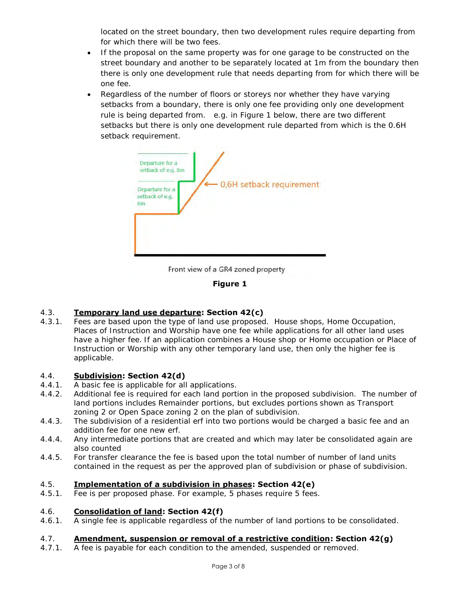located on the street boundary, then two development rules require departing from for which there will be two fees.

- If the proposal on the same property was for one garage to be constructed on the street boundary and another to be separately located at 1m from the boundary then there is only one development rule that needs departing from for which there will be one fee.
- Regardless of the number of floors or storeys nor whether they have varying setbacks from a boundary, there is only one fee providing only one development rule is being departed from. e.g. in Figure 1 below, there are two different setbacks but there is only one development rule departed from which is the 0.6H setback requirement.



Front view of a GR4 zoned property



# 4.3. **Temporary land use departure: Section 42(c)**

4.3.1. Fees are based upon the type of land use proposed. House shops, Home Occupation, Places of Instruction and Worship have one fee while applications for all other land uses have a higher fee. If an application combines a House shop or Home occupation or Place of Instruction or Worship with any other temporary land use, then only the higher fee is applicable.

# 4.4. **Subdivision: Section 42(d)**

- 4.4.1. A basic fee is applicable for all applications.
- 4.4.2. Additional fee is required for each land portion in the proposed subdivision. The number of land portions includes Remainder portions, but excludes portions shown as Transport zoning 2 or Open Space zoning 2 on the plan of subdivision.
- 4.4.3. The subdivision of a residential erf into two portions would be charged a basic fee and an addition fee for one new erf.
- 4.4.4. Any intermediate portions that are created and which may later be consolidated again are also counted
- 4.4.5. For transfer clearance the fee is based upon the total number of number of land units contained in the request as per the approved plan of subdivision or phase of subdivision.

# 4.5. **Implementation of a subdivision in phases: Section 42(e)**

4.5.1. Fee is per proposed phase. For example, 5 phases require 5 fees.

## 4.6. **Consolidation of land: Section 42(f)**

4.6.1. A single fee is applicable regardless of the number of land portions to be consolidated.

## 4.7. **Amendment, suspension or removal of a restrictive condition: Section 42(g)**

4.7.1. A fee is payable for each condition to the amended, suspended or removed.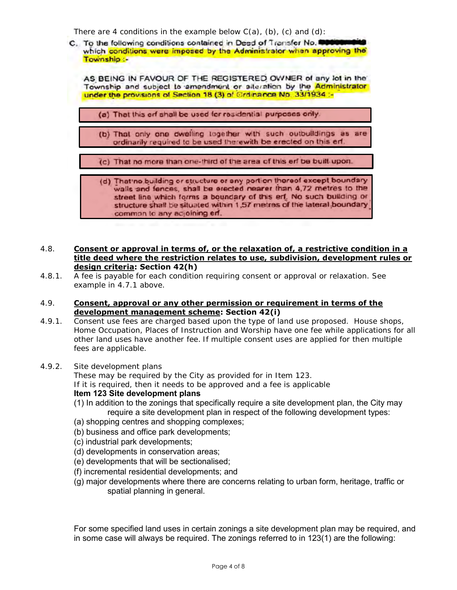There are 4 conditions in the example below  $C(a)$ , (b), (c) and (d):

C. To the following conditions contained in Deed of Transfer No. which conditions were imposed by the Administrator when approving the Township :-AS BEING IN FAVOUR OF THE REGISTERED OWNER of any lot in the Township and subject to amendment or alteration by the Administrator under the provisions of Section 18 (3) of Grdinance No. 33/1934 :-(a) That this erf shall be used for residential purposes only. (b) That only one owelling together with such outbuildings as are ordinarily required to be used therewith be erected on this erf. (c) That no more than one-third of the area of this erf be built upon. (d) That no building or structure or any portion thereof except boundary walls and fences, shall be erected nearer than 4,72 metres to the street line which forms a boundary of this erf. No such building or structure shall be situated within 1,57 metres of the lateral boundary common to any adjoining erf.

#### 4.8. **Consent or approval in terms of, or the relaxation of, a restrictive condition in a title deed where the restriction relates to use, subdivision, development rules or design criteria: Section 42(h)**

4.8.1. A fee is payable for each condition requiring consent or approval or relaxation. See example in 4.7.1 above.

#### 4.9. **Consent, approval or any other permission or requirement in terms of the development management scheme: Section 42(i)**

- 4.9.1. Consent use fees are charged based upon the type of land use proposed. House shops, Home Occupation, Places of Instruction and Worship have one fee while applications for all other land uses have another fee. If multiple consent uses are applied for then multiple fees are applicable.
- 4.9.2. Site development plans

These may be required by the City as provided for in Item 123. If it is required, then it needs to be approved and a fee is applicable

# **Item 123 Site development plans**

- (1) In addition to the zonings that specifically require a site development plan, the City may require a site development plan in respect of the following development types:
- (a) shopping centres and shopping complexes;
- (b) business and office park developments;
- (c) industrial park developments;
- (d) developments in conservation areas;
- (e) developments that will be sectionalised;
- (f) incremental residential developments; and
- (g) major developments where there are concerns relating to urban form, heritage, traffic or spatial planning in general.

For some specified land uses in certain zonings a site development plan may be required, and in some case will always be required. The zonings referred to in 123(1) are the following: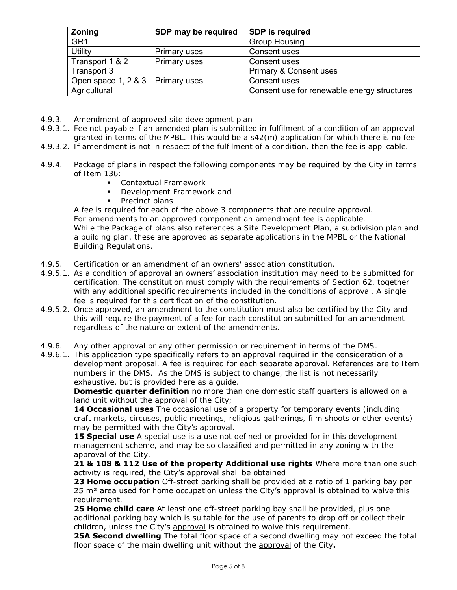| <b>Zoning</b>                      | SDP may be required | <b>SDP</b> is required                      |
|------------------------------------|---------------------|---------------------------------------------|
| GR <sub>1</sub>                    |                     | <b>Group Housing</b>                        |
| <b>Utility</b>                     | Primary uses        | Consent uses                                |
| Transport 1 & 2                    | Primary uses        | Consent uses                                |
| Transport 3                        |                     | <b>Primary &amp; Consent uses</b>           |
| Open space 1, 2 & 3   Primary uses |                     | Consent uses                                |
| Agricultural                       |                     | Consent use for renewable energy structures |

- 4.9.3. Amendment of approved site development plan
- 4.9.3.1. Fee not payable if an amended plan is submitted in fulfilment of a condition of an approval granted in terms of the MPBL. This would be a s42(m) application for which there is no fee.
- 4.9.3.2. If amendment is not in respect of the fulfilment of a condition, then the fee is applicable.
- 4.9.4. Package of plans in respect the following components may be required by the City in terms of Item 136:
	- Contextual Framework
	- **Development Framework and**
	- Precinct plans

A fee is required for each of the above 3 components that are require approval. For amendments to an approved component an amendment fee is applicable. While the Package of plans also references a Site Development Plan, a subdivision plan and a building plan, these are approved as separate applications in the MPBL or the National Building Regulations.

- 4.9.5. Certification or an amendment of an owners' association constitution.
- 4.9.5.1. As a condition of approval an owners' association institution may need to be submitted for certification. The constitution must comply with the requirements of Section 62, together with any additional specific requirements included in the conditions of approval. A single fee is required for this certification of the constitution.
- 4.9.5.2. Once approved, an amendment to the constitution must also be certified by the City and this will require the payment of a fee for each constitution submitted for an amendment regardless of the nature or extent of the amendments.
- 4.9.6. Any other approval or any other permission or requirement in terms of the DMS.

4.9.6.1. This application type specifically refers to an approval required in the consideration of a development proposal. A fee is required for each separate approval. References are to Item numbers in the DMS. As the DMS is subject to change, the list is not necessarily exhaustive, but is provided here as a guide.

**Domestic quarter definition** no more than one domestic staff quarters is allowed on a land unit without the approval of the City;

14 Occasional uses The occasional use of a property for temporary events (including craft markets, circuses, public meetings, religious gatherings, film shoots or other events) may be permitted with the City's approval.

**15 Special use** A special use is a use not defined or provided for in this development management scheme, and may be so classified and permitted in any zoning with the approval of the City.

**21 & 108 & 112 Use of the property Additional use rights** Where more than one such activity is required, the City's approval shall be obtained

**23 Home occupation** Off-street parking shall be provided at a ratio of 1 parking bay per 25 m<sup>2</sup> area used for home occupation unless the City's approval is obtained to waive this requirement.

**25 Home child care** At least one off-street parking bay shall be provided, plus one additional parking bay which is suitable for the use of parents to drop off or collect their children, unless the City's approval is obtained to waive this requirement.

**25A Second dwelling** The total floor space of a second dwelling may not exceed the total floor space of the main dwelling unit without the approval of the City**.**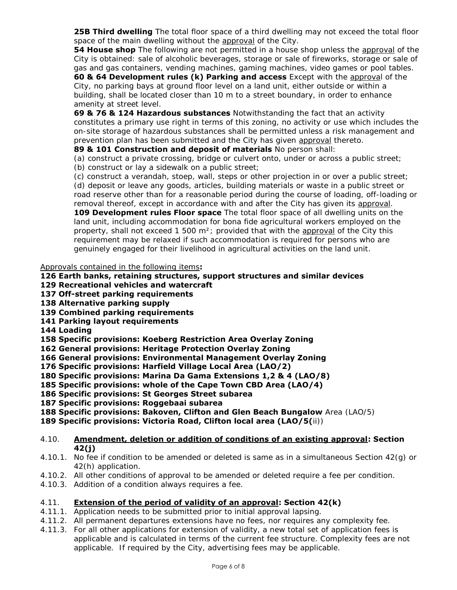**25B Third dwelling** The total floor space of a third dwelling may not exceed the total floor space of the main dwelling without the approval of the City.

**54 House shop** The following are not permitted in a house shop unless the approval of the City is obtained: sale of alcoholic beverages, storage or sale of fireworks, storage or sale of gas and gas containers, vending machines, gaming machines, video games or pool tables.

**60 & 64 Development rules (k) Parking and access** Except with the approval of the City, no parking bays at ground floor level on a land unit, either outside or within a building, shall be located closer than 10 m to a street boundary, in order to enhance amenity at street level.

**69 & 76 & 124 Hazardous substances** Notwithstanding the fact that an activity constitutes a primary use right in terms of this zoning, no activity or use which includes the on-site storage of hazardous substances shall be permitted unless a risk management and prevention plan has been submitted and the City has given approval thereto.

**89 & 101 Construction and deposit of materials** No person shall:

(a) construct a private crossing, bridge or culvert onto, under or across a public street;

(b) construct or lay a sidewalk on a public street;

(c) construct a verandah, stoep, wall, steps or other projection in or over a public street; (d) deposit or leave any goods, articles, building materials or waste in a public street or road reserve other than for a reasonable period during the course of loading, off-loading or removal thereof, except in accordance with and after the City has given its approval.

**109 Development rules Floor space** The total floor space of all dwelling units on the land unit, including accommodation for bona fide agricultural workers employed on the property, shall not exceed 1 500 m²; provided that with the approval of the City this requirement may be relaxed if such accommodation is required for persons who are genuinely engaged for their livelihood in agricultural activities on the land unit.

Approvals contained in the following items**:**

- **126 Earth banks, retaining structures, support structures and similar devices**
- **129 Recreational vehicles and watercraft**
- **137 Off-street parking requirements**
- **138 Alternative parking supply**
- **139 Combined parking requirements**
- **141 Parking layout requirements**
- **144 Loading**

**158 Specific provisions: Koeberg Restriction Area Overlay Zoning**

**162 General provisions: Heritage Protection Overlay Zoning**

**166 General provisions: Environmental Management Overlay Zoning**

**176 Specific provisions: Harfield Village Local Area (LAO/2)**

**180 Specific provisions: Marina Da Gama Extensions 1,2 & 4 (LAO/8)**

**185 Specific provisions: whole of the Cape Town CBD Area (LAO/4)**

- **186 Specific provisions: St Georges Street subarea**
- **187 Specific provisions: Roggebaai subarea**

**188 Specific provisions: Bakoven, Clifton and Glen Beach Bungalow** Area (LAO/5)

**189 Specific provisions: Victoria Road, Clifton local area (LAO/5(**ii))

#### 4.10. **Amendment, deletion or addition of conditions of an existing approval: Section 42(j)**

- 4.10.1. No fee if condition to be amended or deleted is same as in a simultaneous Section 42(g) or 42(h) application.
- 4.10.2. All other conditions of approval to be amended or deleted require a fee per condition.
- 4.10.3. Addition of a condition always requires a fee.

## 4.11. **Extension of the period of validity of an approval: Section 42(k)**

- 4.11.1. Application needs to be submitted prior to initial approval lapsing.
- 4.11.2. All permanent departures extensions have no fees, nor requires any complexity fee.
- 4.11.3. For all other applications for extension of validity, a new total set of application fees is applicable and is calculated in terms of the current fee structure. Complexity fees are not applicable. If required by the City, advertising fees may be applicable.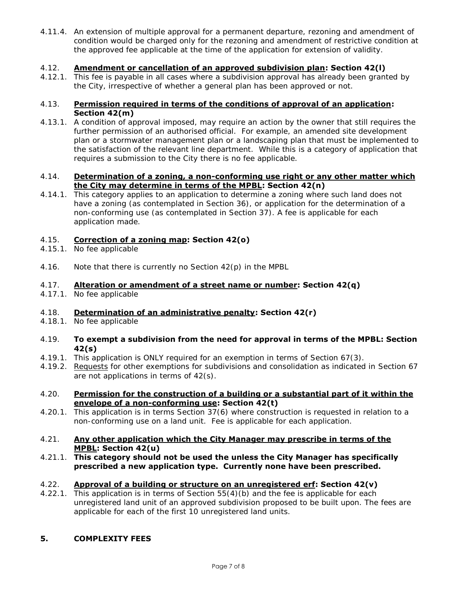4.11.4. An extension of multiple approval for a permanent departure, rezoning and amendment of condition would be charged only for the rezoning and amendment of restrictive condition at the approved fee applicable at the time of the application for extension of validity.

#### 4.12. **Amendment or cancellation of an approved subdivision plan: Section 42(l)**

4.12.1. This fee is payable in all cases where a subdivision approval has already been granted by the City, irrespective of whether a general plan has been approved or not.

#### 4.13. **Permission required in terms of the conditions of approval of an application: Section 42(m)**

4.13.1. A condition of approval imposed, may require an action by the owner that still requires the further permission of an authorised official. For example, an amended site development plan or a stormwater management plan or a landscaping plan that must be implemented to the satisfaction of the relevant line department. While this is a category of application that requires a submission to the City there is no fee applicable.

#### 4.14. **Determination of a zoning, a non-conforming use right or any other matter which the City may determine in terms of the MPBL: Section 42(n)**

4.14.1. This category applies to an application to determine a zoning where such land does not have a zoning (as contemplated in Section 36), or application for the determination of a non-conforming use (as contemplated in Section 37). A fee is applicable for each application made.

#### 4.15. **Correction of a zoning map: Section 42(o)**

- 4.15.1. No fee applicable
- 4.16. Note that there is currently no Section 42(p) in the MPBL

#### 4.17. **Alteration or amendment of a street name or number: Section 42(q)**

4.17.1. No fee applicable

#### 4.18. **Determination of an administrative penalty: Section 42(r)**

- 4.18.1. No fee applicable
- 4.19. **To exempt a subdivision from the need for approval in terms of the MPBL: Section 42(s)**
- 4.19.1. This application is ONLY required for an exemption in terms of Section 67(3).
- 4.19.2. Requests for other exemptions for subdivisions and consolidation as indicated in Section 67 are not applications in terms of 42(s).

#### 4.20. **Permission for the construction of a building or a substantial part of it within the envelope of a non-conforming use: Section 42(t)**

4.20.1. This application is in terms Section 37(6) where construction is requested in relation to a non-conforming use on a land unit. Fee is applicable for each application.

#### 4.21. **Any other application which the City Manager may prescribe in terms of the MPBL: Section 42(u)**

4.21.1. **This category should not be used the unless the City Manager has specifically prescribed a new application type. Currently none have been prescribed.**

## 4.22. **Approval of a building or structure on an unregistered erf: Section 42(v)**

4.22.1. This application is in terms of Section 55(4)(b) and the fee is applicable for each unregistered land unit of an approved subdivision proposed to be built upon. The fees are applicable for each of the first 10 unregistered land units.

## **5. COMPLEXITY FEES**